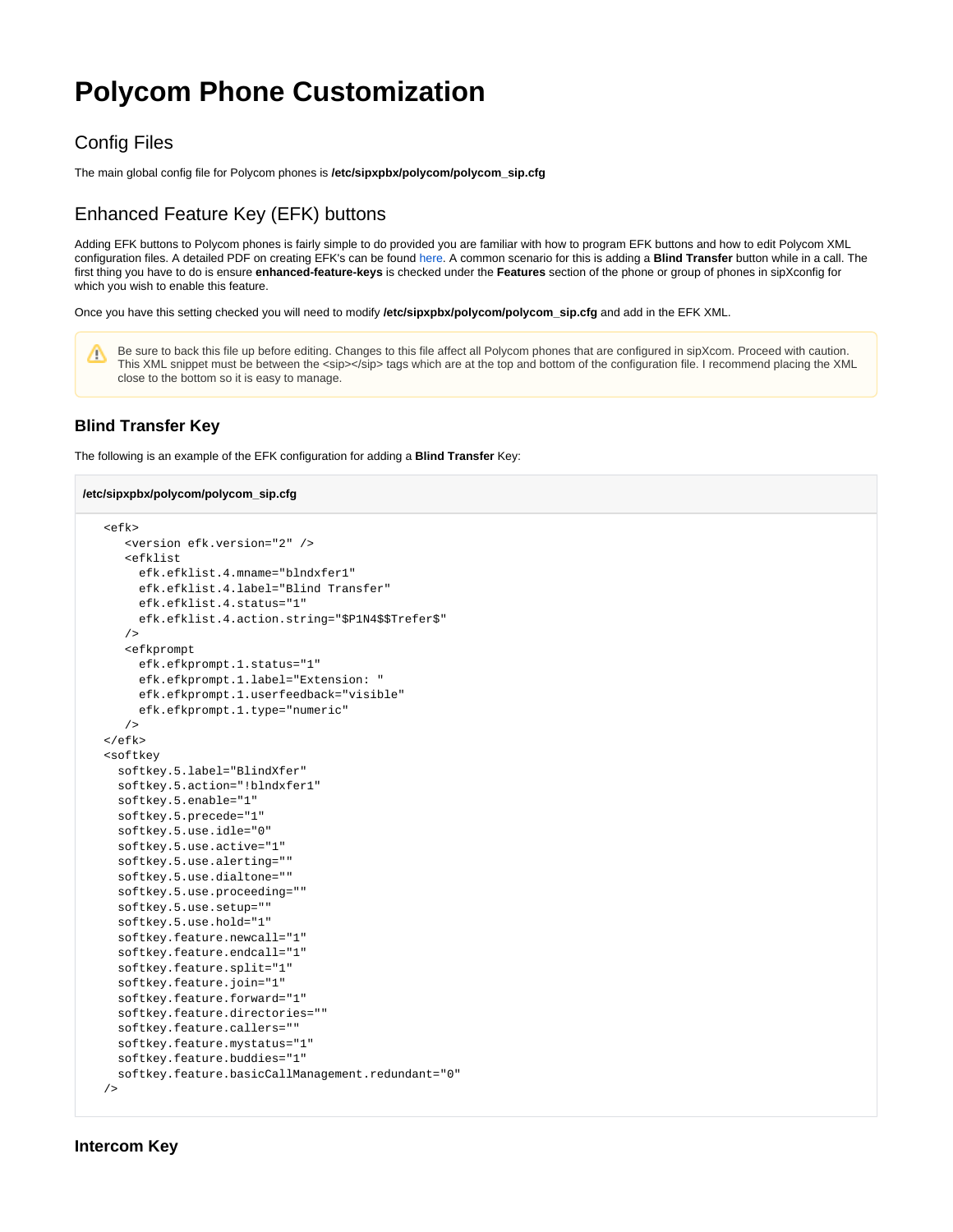# **Polycom Phone Customization**

# Config Files

The main global config file for Polycom phones is **/etc/sipxpbx/polycom/polycom\_sip.cfg**

# Enhanced Feature Key (EFK) buttons

Adding EFK buttons to Polycom phones is fairly simple to do provided you are familiar with how to program EFK buttons and how to edit Polycom XML configuration files. A detailed PDF on creating EFK's can be found [here.](http://support.polycom.com/global/documents/support/technical/products/voice/Enhanced_Feature_Keys_TB42250.pdf) A common scenario for this is adding a **Blind Transfer** button while in a call. The first thing you have to do is ensure **enhanced-feature-keys** is checked under the **Features** section of the phone or group of phones in sipXconfig for which you wish to enable this feature.

Once you have this setting checked you will need to modify **/etc/sipxpbx/polycom/polycom\_sip.cfg** and add in the EFK XML.

Be sure to back this file up before editing. Changes to this file affect all Polycom phones that are configured in sipXcom. Proceed with caution. Λ This XML snippet must be between the <sip></sip> tags which are at the top and bottom of the configuration file. I recommend placing the XML close to the bottom so it is easy to manage.

### **Blind Transfer Key**

The following is an example of the EFK configuration for adding a **Blind Transfer** Key:

### **/etc/sipxpbx/polycom/polycom\_sip.cfg**

```
\epsilonefk>
    <version efk.version="2" />
    <efklist
      efk.efklist.4.mname="blndxfer1"
      efk.efklist.4.label="Blind Transfer"
      efk.efklist.4.status="1"
      efk.efklist.4.action.string="$P1N4$$Trefer$"
    />
    <efkprompt
      efk.efkprompt.1.status="1"
      efk.efkprompt.1.label="Extension: "
      efk.efkprompt.1.userfeedback="visible"
      efk.efkprompt.1.type="numeric"
    />
 </efk>
 <softkey
  softkey.5.label="BlindXfer"
  softkey.5.action="!blndxfer1"
  softkey.5.enable="1"
  softkey.5.precede="1"
  softkey.5.use.idle="0"
  softkey.5.use.active="1"
  softkey.5.use.alerting=""
  softkey.5.use.dialtone=""
  softkey.5.use.proceeding=""
  softkey.5.use.setup=""
  softkey.5.use.hold="1"
  softkey.feature.newcall="1"
  softkey.feature.endcall="1"
  softkey.feature.split="1"
  softkey.feature.join="1"
  softkey.feature.forward="1"
  softkey.feature.directories=""
  softkey.feature.callers=""
  softkey.feature.mystatus="1"
   softkey.feature.buddies="1"
   softkey.feature.basicCallManagement.redundant="0"
 />
```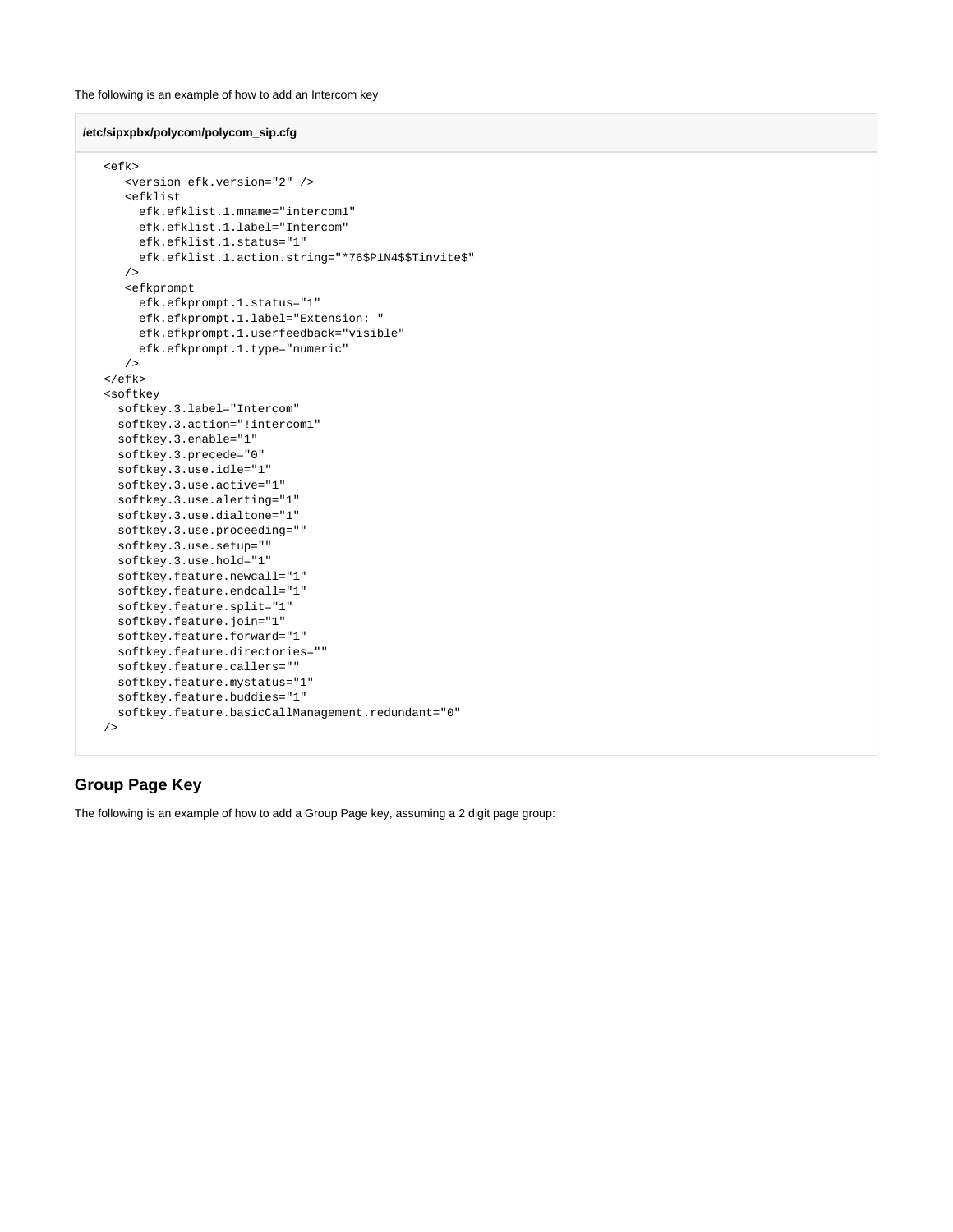The following is an example of how to add an Intercom key

**/etc/sipxpbx/polycom/polycom\_sip.cfg**

```
 <efk>
   <version efk.version="2" />
   <efklist
     efk.efklist.1.mname="intercom1"
     efk.efklist.1.label="Intercom"
     efk.efklist.1.status="1"
     efk.efklist.1.action.string="*76$P1N4$$Tinvite$"
  / <efkprompt
     efk.efkprompt.1.status="1"
     efk.efkprompt.1.label="Extension: "
     efk.efkprompt.1.userfeedback="visible"
     efk.efkprompt.1.type="numeric"
  /\langleefk>
 <softkey
  softkey.3.label="Intercom"
  softkey.3.action="!intercom1"
  softkey.3.enable="1"
  softkey.3.precede="0"
  softkey.3.use.idle="1"
  softkey.3.use.active="1"
  softkey.3.use.alerting="1"
  softkey.3.use.dialtone="1"
  softkey.3.use.proceeding=""
  softkey.3.use.setup=""
  softkey.3.use.hold="1"
  softkey.feature.newcall="1"
  softkey.feature.endcall="1"
  softkey.feature.split="1"
  softkey.feature.join="1"
  softkey.feature.forward="1"
  softkey.feature.directories=""
  softkey.feature.callers=""
  softkey.feature.mystatus="1"
  softkey.feature.buddies="1"
  softkey.feature.basicCallManagement.redundant="0"
 />
```
### **Group Page Key**

The following is an example of how to add a Group Page key, assuming a 2 digit page group: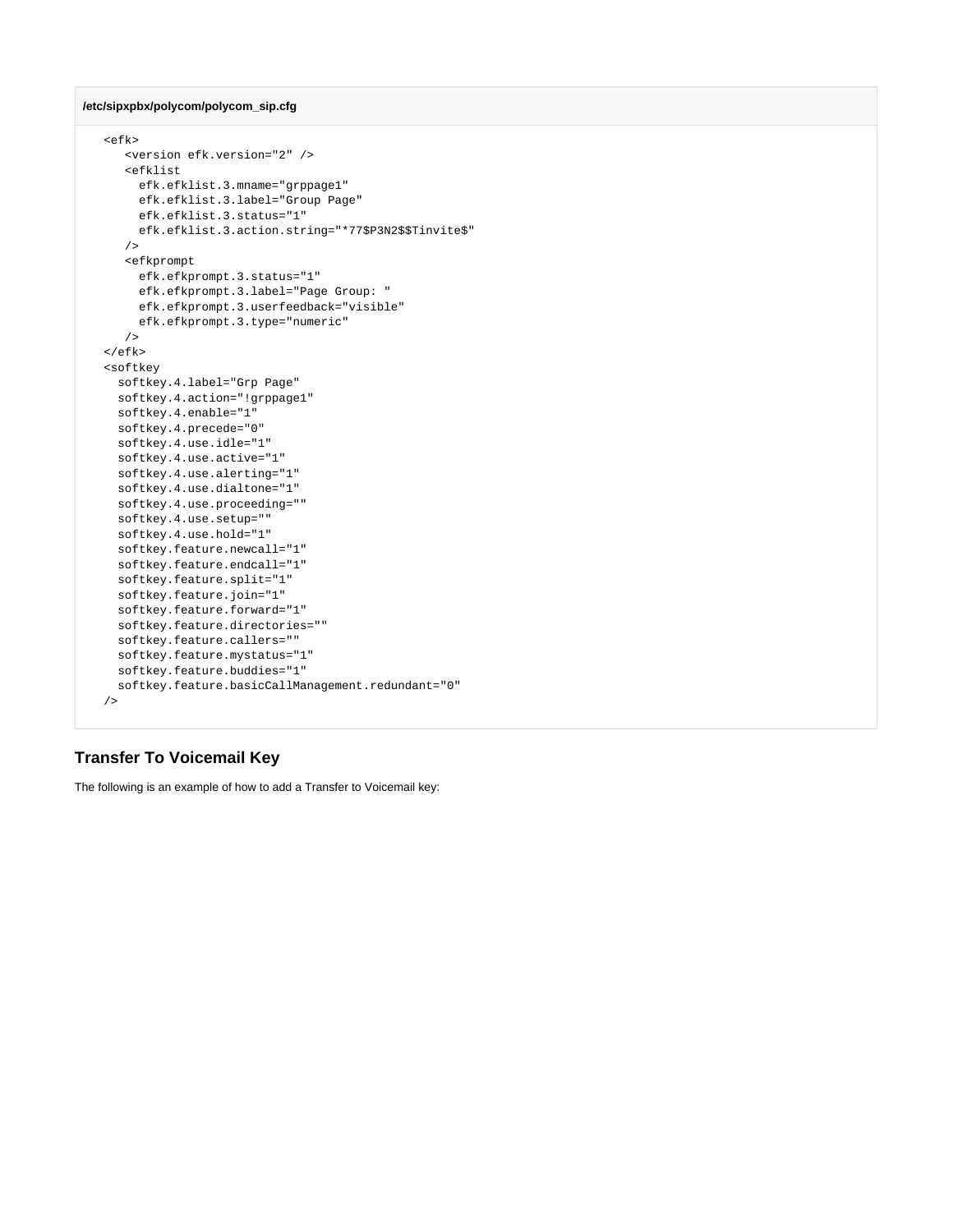#### **/etc/sipxpbx/polycom/polycom\_sip.cfg**

```
 <efk>
   <version efk.version="2" />
   <efklist
     efk.efklist.3.mname="grppage1"
     efk.efklist.3.label="Group Page"
     efk.efklist.3.status="1"
     efk.efklist.3.action.string="*77$P3N2$$Tinvite$"
    />
   <efkprompt
     efk.efkprompt.3.status="1"
     efk.efkprompt.3.label="Page Group: "
     efk.efkprompt.3.userfeedback="visible"
     efk.efkprompt.3.type="numeric"
  /\langleefk>
 <softkey
  softkey.4.label="Grp Page"
  softkey.4.action="!grppage1"
  softkey.4.enable="1"
  softkey.4.precede="0"
  softkey.4.use.idle="1"
  softkey.4.use.active="1"
  softkey.4.use.alerting="1"
  softkey.4.use.dialtone="1"
  softkey.4.use.proceeding=""
  softkey.4.use.setup=""
  softkey.4.use.hold="1"
  softkey.feature.newcall="1"
  softkey.feature.endcall="1"
  softkey.feature.split="1"
  softkey.feature.join="1"
  softkey.feature.forward="1"
  softkey.feature.directories=""
  softkey.feature.callers=""
  softkey.feature.mystatus="1"
  softkey.feature.buddies="1"
  softkey.feature.basicCallManagement.redundant="0"
 />
```
### **Transfer To Voicemail Key**

The following is an example of how to add a Transfer to Voicemail key: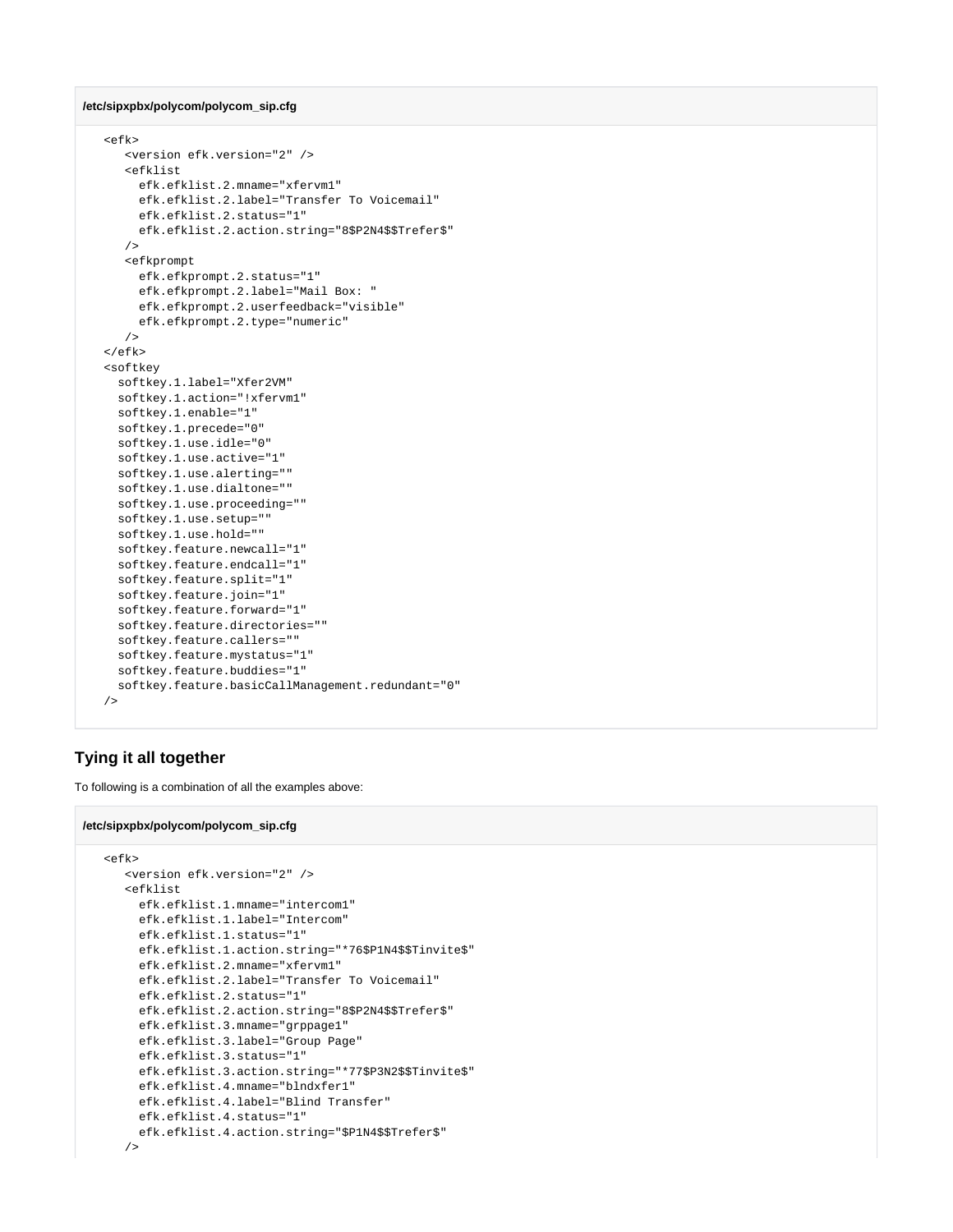#### **/etc/sipxpbx/polycom/polycom\_sip.cfg**

```
 <efk>
    <version efk.version="2" />
    <efklist
     efk.efklist.2.mname="xfervm1"
      efk.efklist.2.label="Transfer To Voicemail"
     efk.efklist.2.status="1"
     efk.efklist.2.action.string="8$P2N4$$Trefer$"
    />
   <efkprompt
     efk.efkprompt.2.status="1"
      efk.efkprompt.2.label="Mail Box: "
      efk.efkprompt.2.userfeedback="visible"
     efk.efkprompt.2.type="numeric"
  / </efk>
 <softkey
  softkey.1.label="Xfer2VM"
  softkey.1.action="!xfervm1"
  softkey.1.enable="1"
  softkey.1.precede="0"
  softkey.1.use.idle="0"
  softkey.1.use.active="1"
  softkey.1.use.alerting=""
  softkey.1.use.dialtone=""
  softkey.1.use.proceeding=""
  softkey.1.use.setup=""
  softkey.1.use.hold=""
  softkey.feature.newcall="1"
  softkey.feature.endcall="1"
  softkey.feature.split="1"
  softkey.feature.join="1"
  softkey.feature.forward="1"
  softkey.feature.directories=""
  softkey.feature.callers=""
  softkey.feature.mystatus="1"
  softkey.feature.buddies="1"
  softkey.feature.basicCallManagement.redundant="0"
 />
```
### **Tying it all together**

To following is a combination of all the examples above:

### **/etc/sipxpbx/polycom/polycom\_sip.cfg**

```
 <efk>
    <version efk.version="2" />
    <efklist
      efk.efklist.1.mname="intercom1"
      efk.efklist.1.label="Intercom"
      efk.efklist.1.status="1"
      efk.efklist.1.action.string="*76$P1N4$$Tinvite$"
      efk.efklist.2.mname="xfervm1"
      efk.efklist.2.label="Transfer To Voicemail"
      efk.efklist.2.status="1"
      efk.efklist.2.action.string="8$P2N4$$Trefer$"
      efk.efklist.3.mname="grppage1"
      efk.efklist.3.label="Group Page"
      efk.efklist.3.status="1"
      efk.efklist.3.action.string="*77$P3N2$$Tinvite$"
      efk.efklist.4.mname="blndxfer1"
      efk.efklist.4.label="Blind Transfer"
      efk.efklist.4.status="1"
      efk.efklist.4.action.string="$P1N4$$Trefer$"
    />
```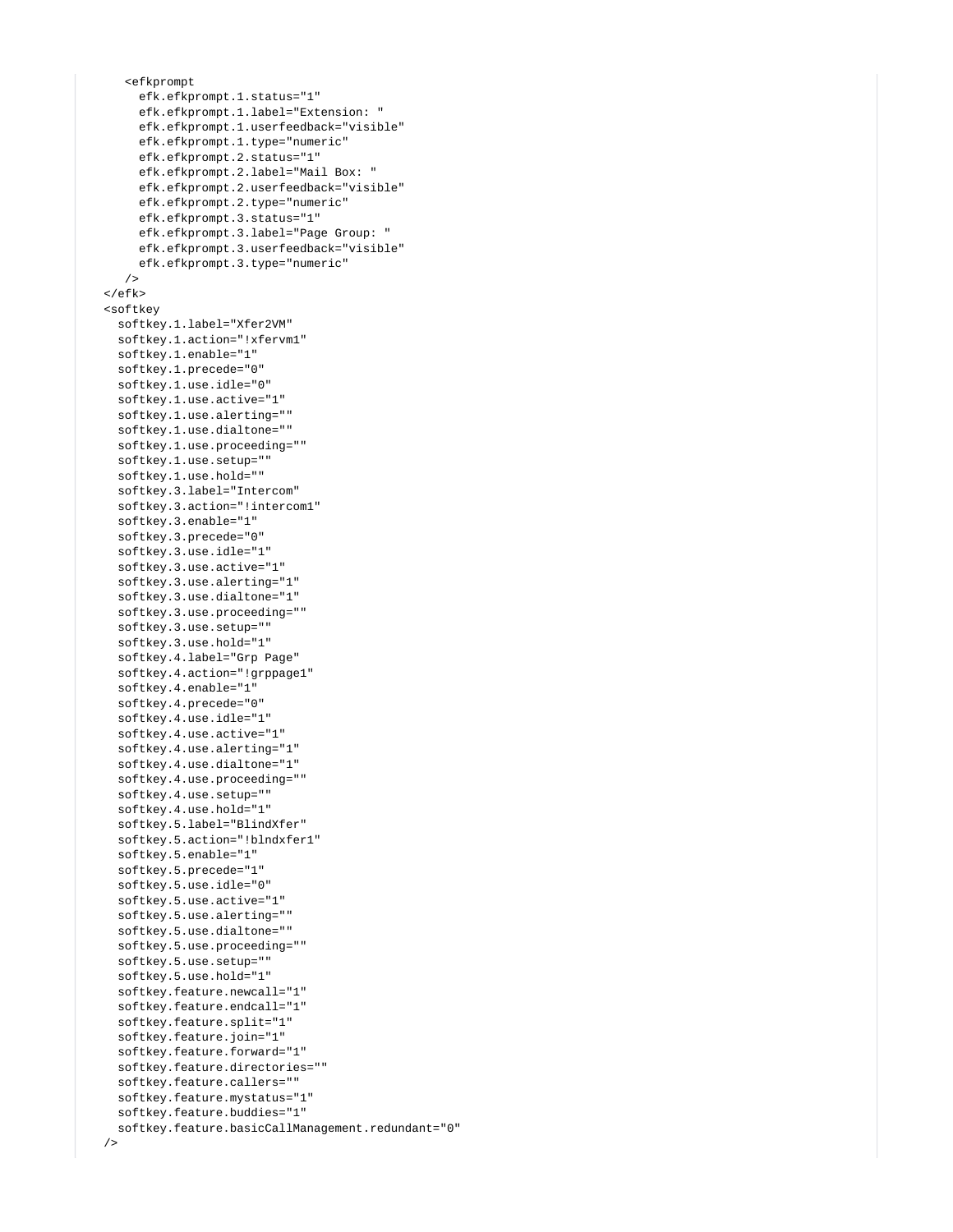```
 <efkprompt
      efk.efkprompt.1.status="1"
      efk.efkprompt.1.label="Extension: "
      efk.efkprompt.1.userfeedback="visible"
      efk.efkprompt.1.type="numeric"
      efk.efkprompt.2.status="1"
      efk.efkprompt.2.label="Mail Box: "
      efk.efkprompt.2.userfeedback="visible"
      efk.efkprompt.2.type="numeric"
      efk.efkprompt.3.status="1"
      efk.efkprompt.3.label="Page Group: "
      efk.efkprompt.3.userfeedback="visible"
      efk.efkprompt.3.type="numeric"
    />
\epsilon/efk>
 <softkey
  softkey.1.label="Xfer2VM"
  softkey.1.action="!xfervm1"
  softkey.1.enable="1"
  softkey.1.precede="0"
  softkey.1.use.idle="0"
  softkey.1.use.active="1"
  softkey.1.use.alerting=""
  softkey.1.use.dialtone=""
  softkey.1.use.proceeding=""
  softkey.1.use.setup=""
  softkey.1.use.hold=""
  softkey.3.label="Intercom"
  softkey.3.action="!intercom1"
  softkey.3.enable="1"
  softkey.3.precede="0"
  softkey.3.use.idle="1"
  softkey.3.use.active="1"
  softkey.3.use.alerting="1"
  softkey.3.use.dialtone="1"
  softkey.3.use.proceeding=""
  softkey.3.use.setup=""
  softkey.3.use.hold="1"
  softkey.4.label="Grp Page"
  softkey.4.action="!grppage1"
  softkey.4.enable="1"
  softkey.4.precede="0"
  softkey.4.use.idle="1"
  softkey.4.use.active="1"
  softkey.4.use.alerting="1"
  softkey.4.use.dialtone="1"
  softkey.4.use.proceeding=""
  softkey.4.use.setup=""
  softkey.4.use.hold="1"
  softkey.5.label="BlindXfer"
  softkey.5.action="!blndxfer1"
  softkey.5.enable="1"
  softkey.5.precede="1"
  softkey.5.use.idle="0"
  softkey.5.use.active="1"
  softkey.5.use.alerting=""
  softkey.5.use.dialtone=""
  softkey.5.use.proceeding=""
  softkey.5.use.setup=""
  softkey.5.use.hold="1"
  softkey.feature.newcall="1"
  softkey.feature.endcall="1"
  softkey.feature.split="1"
  softkey.feature.join="1"
  softkey.feature.forward="1"
   softkey.feature.directories=""
  softkey.feature.callers=""
  softkey.feature.mystatus="1"
  softkey.feature.buddies="1"
   softkey.feature.basicCallManagement.redundant="0"
```

```
 />
```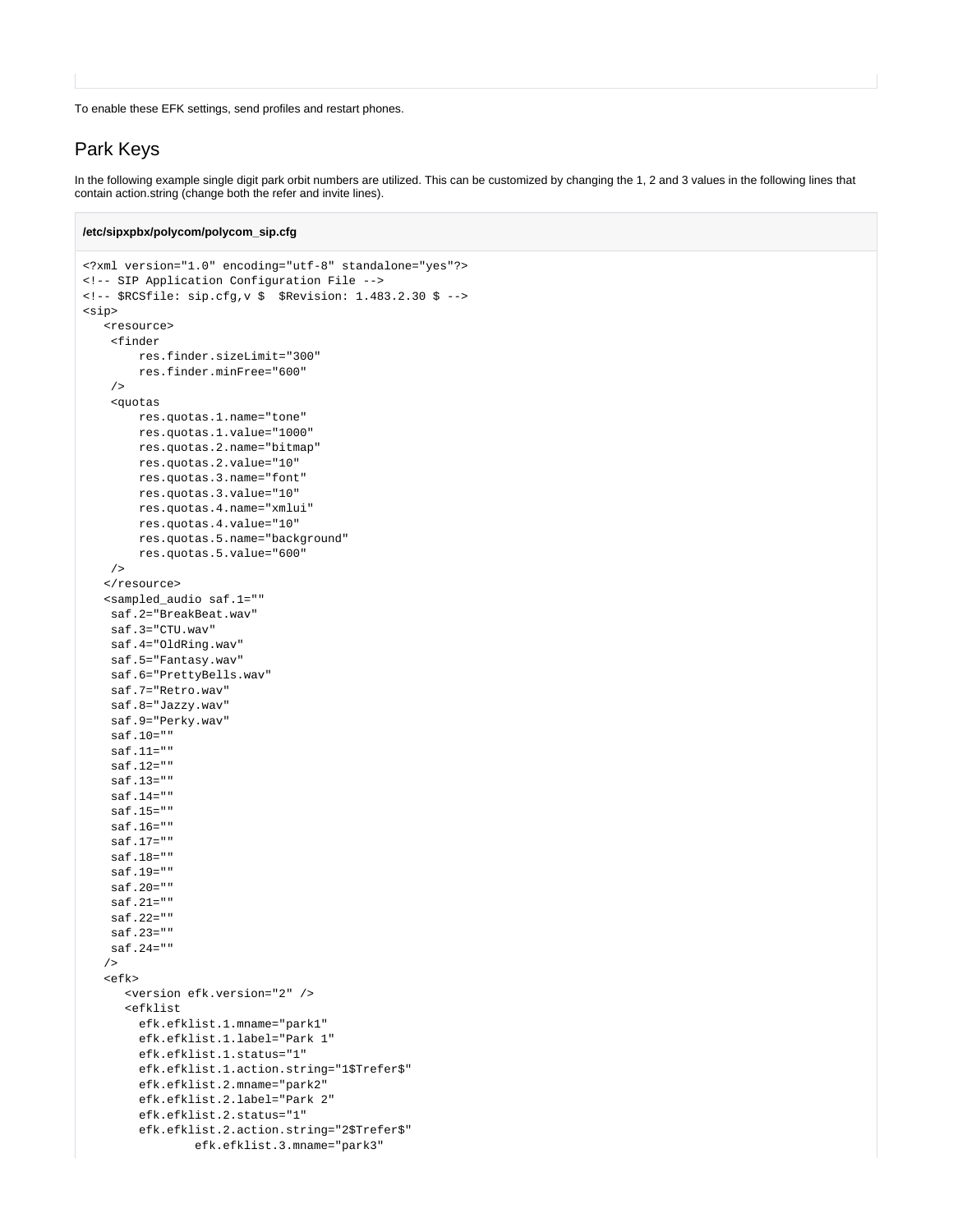To enable these EFK settings, send profiles and restart phones.

# Park Keys

In the following example single digit park orbit numbers are utilized. This can be customized by changing the 1, 2 and 3 values in the following lines that contain action.string (change both the refer and invite lines).

### **/etc/sipxpbx/polycom/polycom\_sip.cfg**

```
<?xml version="1.0" encoding="utf-8" standalone="yes"?>
<!-- SIP Application Configuration File -->
<!-- $RCSfile: sip.cfg,v $ $Revision: 1.483.2.30 $ -->
<sip>
    <resource>
     <finder
         res.finder.sizeLimit="300"
         res.finder.minFree="600"
     />
     <quotas
         res.quotas.1.name="tone"
         res.quotas.1.value="1000"
        res.quotas.2.name="bitmap"
         res.quotas.2.value="10"
         res.quotas.3.name="font"
         res.quotas.3.value="10"
         res.quotas.4.name="xmlui"
         res.quotas.4.value="10"
         res.quotas.5.name="background"
         res.quotas.5.value="600"
     />
    </resource>
    <sampled_audio saf.1=""
    saf.2="BreakBeat.wav"
    saf.3="CTU.wav"
    saf.4="OldRing.wav"
    saf.5="Fantasy.wav"
    saf.6="PrettyBells.wav"
    saf.7="Retro.wav"
     saf.8="Jazzy.wav"
    saf.9="Perky.wav"
    saf.10=""
    saf.11=""
    saf.12=""
    saf.13=""
    saf.14=""
    saf.15=""
    saf.16=""
    saf.17=""
    saf.18=""
    saf.19=""
    saf.20=""
     saf.21=""
    saf.22=""
    saf.23=""
    saf.24=""
    />
    <efk>
       <version efk.version="2" />
       <efklist
         efk.efklist.1.mname="park1"
         efk.efklist.1.label="Park 1"
         efk.efklist.1.status="1"
         efk.efklist.1.action.string="1$Trefer$"
         efk.efklist.2.mname="park2"
         efk.efklist.2.label="Park 2"
         efk.efklist.2.status="1"
         efk.efklist.2.action.string="2$Trefer$"
                 efk.efklist.3.mname="park3"
```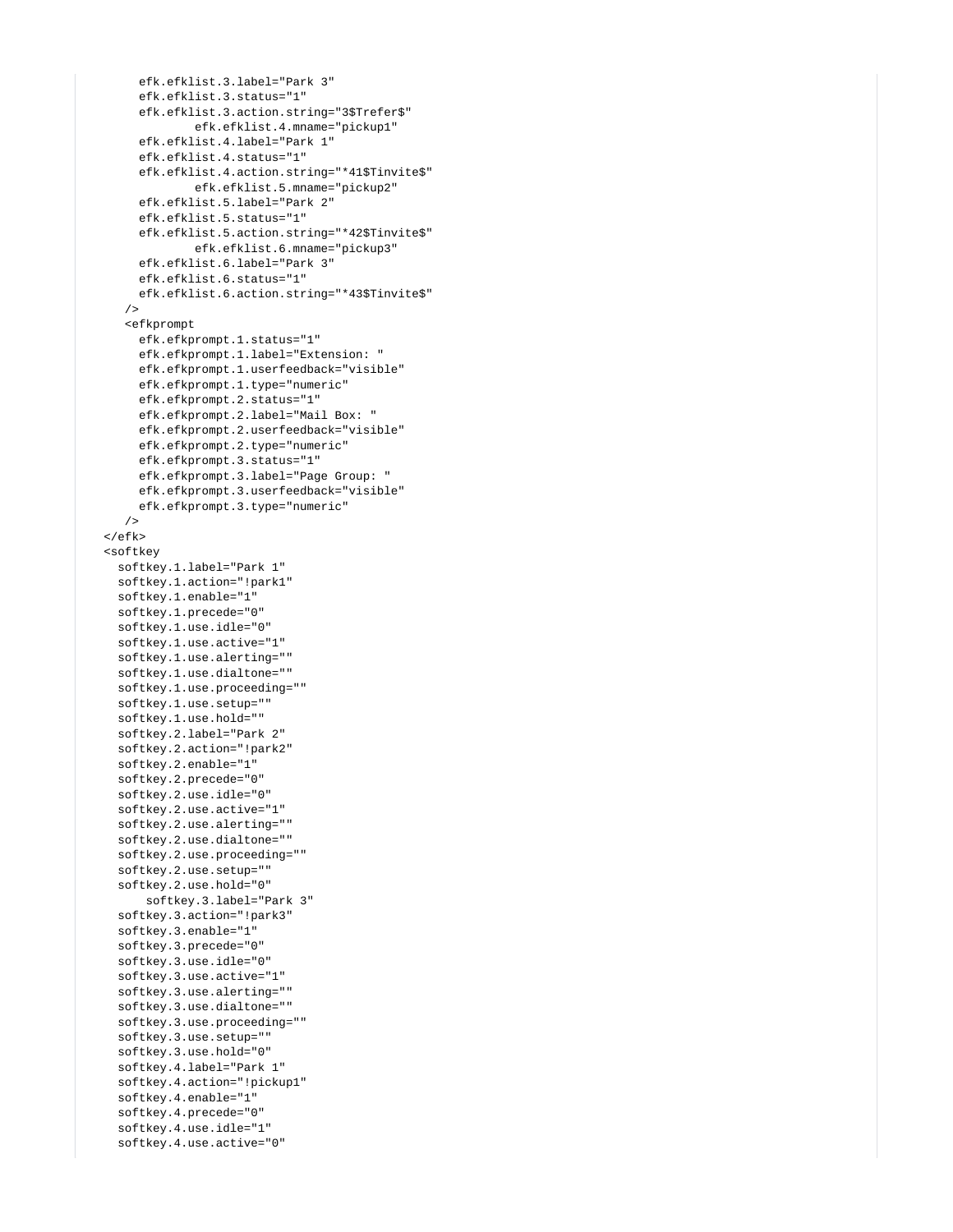```
 efk.efklist.3.label="Park 3"
      efk.efklist.3.status="1"
      efk.efklist.3.action.string="3$Trefer$"
              efk.efklist.4.mname="pickup1"
      efk.efklist.4.label="Park 1"
      efk.efklist.4.status="1"
      efk.efklist.4.action.string="*41$Tinvite$"
              efk.efklist.5.mname="pickup2"
      efk.efklist.5.label="Park 2"
      efk.efklist.5.status="1"
      efk.efklist.5.action.string="*42$Tinvite$"
             efk.efklist.6.mname="pickup3"
      efk.efklist.6.label="Park 3"
      efk.efklist.6.status="1"
      efk.efklist.6.action.string="*43$Tinvite$"
  / <efkprompt
      efk.efkprompt.1.status="1"
      efk.efkprompt.1.label="Extension: "
      efk.efkprompt.1.userfeedback="visible"
      efk.efkprompt.1.type="numeric"
      efk.efkprompt.2.status="1"
      efk.efkprompt.2.label="Mail Box: "
      efk.efkprompt.2.userfeedback="visible"
      efk.efkprompt.2.type="numeric"
      efk.efkprompt.3.status="1"
      efk.efkprompt.3.label="Page Group: "
      efk.efkprompt.3.userfeedback="visible"
     efk.efkprompt.3.type="numeric"
    />
\epsilon/efk>
 <softkey
  softkey.1.label="Park 1"
  softkey.1.action="!park1"
  softkey.1.enable="1"
  softkey.1.precede="0"
  softkey.1.use.idle="0"
  softkey.1.use.active="1"
  softkey.1.use.alerting=""
  softkey.1.use.dialtone=""
  softkey.1.use.proceeding=""
  softkey.1.use.setup=""
  softkey.1.use.hold=""
  softkey.2.label="Park 2"
  softkey.2.action="!park2"
  softkey.2.enable="1"
  softkey.2.precede="0"
  softkey.2.use.idle="0"
  softkey.2.use.active="1"
  softkey.2.use.alerting=""
  softkey.2.use.dialtone=""
  softkey.2.use.proceeding=""
   softkey.2.use.setup=""
  softkey.2.use.hold="0"
      softkey.3.label="Park 3"
  softkey.3.action="!park3"
  softkey.3.enable="1"
  softkey.3.precede="0"
  softkey.3.use.idle="0"
  softkey.3.use.active="1"
  softkey.3.use.alerting=""
  softkey.3.use.dialtone=""
  softkey.3.use.proceeding=""
  softkey.3.use.setup=""
  softkey.3.use.hold="0"
   softkey.4.label="Park 1"
  softkey.4.action="!pickup1"
  softkey.4.enable="1"
  softkey.4.precede="0"
   softkey.4.use.idle="1"
   softkey.4.use.active="0"
```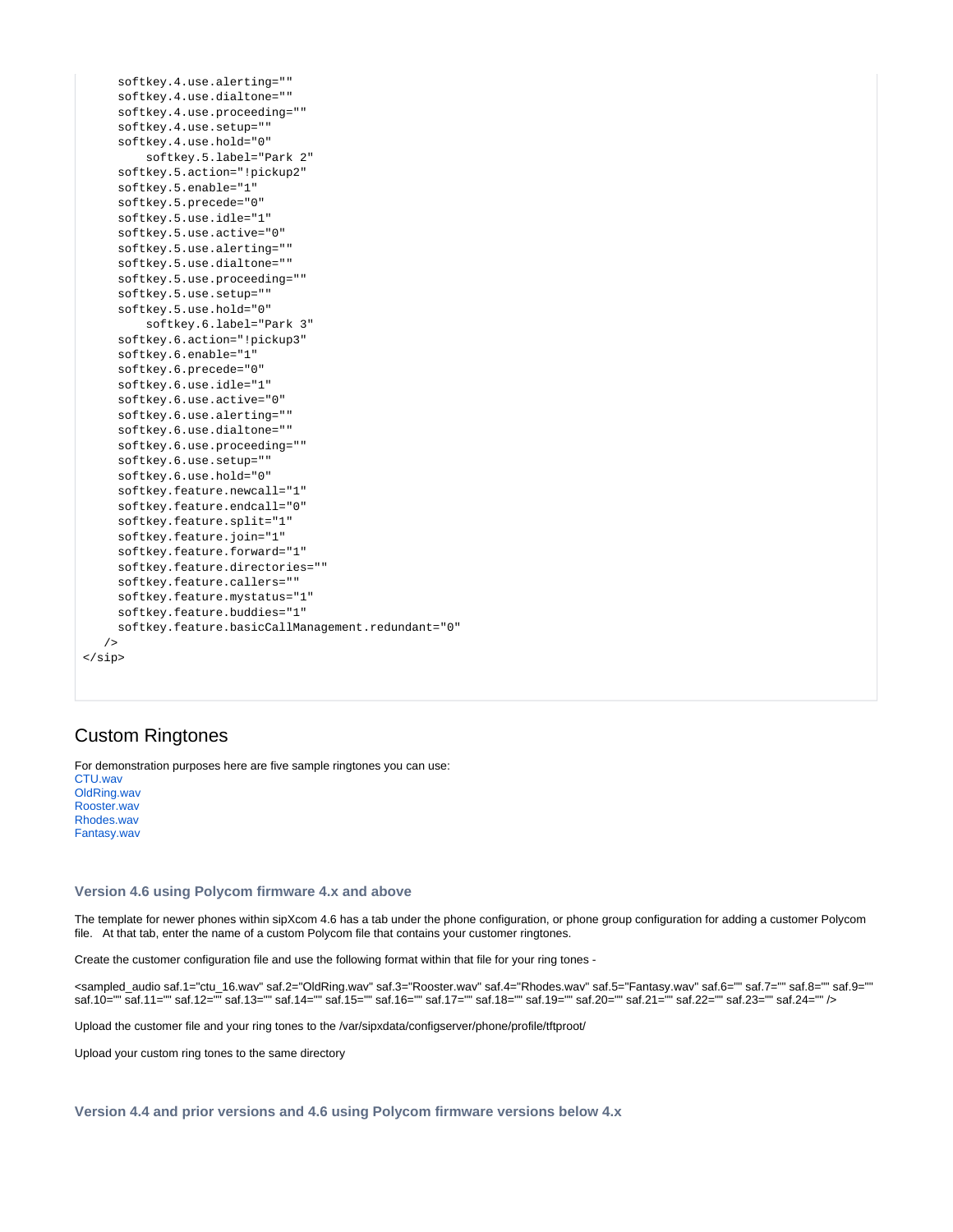```
 softkey.4.use.alerting=""
     softkey.4.use.dialtone=""
     softkey.4.use.proceeding=""
     softkey.4.use.setup=""
     softkey.4.use.hold="0" 
          softkey.5.label="Park 2"
     softkey.5.action="!pickup2"
     softkey.5.enable="1"
     softkey.5.precede="0"
     softkey.5.use.idle="1"
     softkey.5.use.active="0"
     softkey.5.use.alerting=""
     softkey.5.use.dialtone=""
     softkey.5.use.proceeding=""
     softkey.5.use.setup=""
     softkey.5.use.hold="0" 
         softkey.6.label="Park 3"
     softkey.6.action="!pickup3"
     softkey.6.enable="1"
     softkey.6.precede="0"
     softkey.6.use.idle="1"
     softkey.6.use.active="0"
     softkey.6.use.alerting=""
     softkey.6.use.dialtone=""
     softkey.6.use.proceeding=""
     softkey.6.use.setup=""
     softkey.6.use.hold="0"
     softkey.feature.newcall="1"
     softkey.feature.endcall="0"
     softkey.feature.split="1"
     softkey.feature.join="1"
     softkey.feature.forward="1"
     softkey.feature.directories=""
     softkey.feature.callers=""
     softkey.feature.mystatus="1"
     softkey.feature.buddies="1"
     softkey.feature.basicCallManagement.redundant="0"
    />
</sip>
```
# Custom Ringtones

For demonstration purposes here are five sample ringtones you can use: [CTU.wav](https://wiki.ezuce.com/download/attachments/35685153/CTU.wav?version=1&modificationDate=1426278431000&api=v2) [OldRing.wav](https://wiki.ezuce.com/download/attachments/35685153/OldRing.wav?version=1&modificationDate=1426278431000&api=v2) [Rooster.wav](https://wiki.ezuce.com/download/attachments/35685153/Rooster.wav?version=1&modificationDate=1426278431000&api=v2) [Rhodes.wav](https://wiki.ezuce.com/download/attachments/35685153/Rhodes.wav?version=1&modificationDate=1426278431000&api=v2) [Fantasy.wav](https://wiki.ezuce.com/download/attachments/35685153/Fantasy.wav?version=1&modificationDate=1426278431000&api=v2)

### **Version 4.6 using Polycom firmware 4.x and above**

The template for newer phones within sipXcom 4.6 has a tab under the phone configuration, or phone group configuration for adding a customer Polycom file. At that tab, enter the name of a custom Polycom file that contains your customer ringtones.

Create the customer configuration file and use the following format within that file for your ring tones -

<sampled\_audio saf.1="ctu\_16.wav" saf.2="OldRing.wav" saf.3="Rooster.wav" saf.4="Rhodes.wav" saf.5="Fantasy.wav" saf.6="" saf.7="" saf.8="" saf.9="" saf.10="" saf.11="" saf.12="" saf.13="" saf.14="" saf.15="" saf.16="" saf.17="" saf.18="" saf.19="" saf.20="" saf.21="" saf.22="" saf.23="" saf.24="" />

Upload the customer file and your ring tones to the /var/sipxdata/configserver/phone/profile/tftproot/

Upload your custom ring tones to the same directory

**Version 4.4 and prior versions and 4.6 using Polycom firmware versions below 4.x**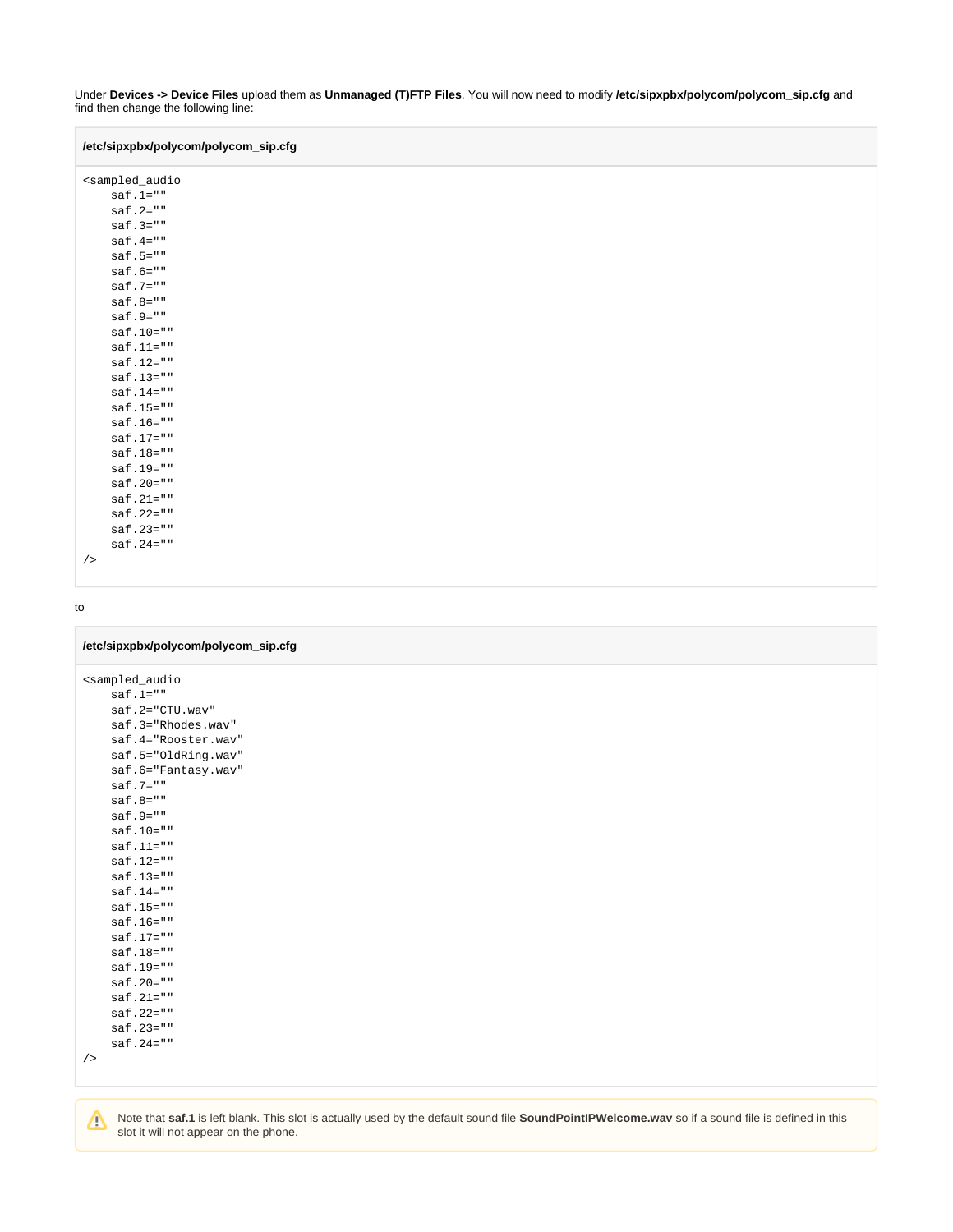Under **Devices -> Device Files** upload them as **Unmanaged (T)FTP Files**. You will now need to modify **/etc/sipxpbx/polycom/polycom\_sip.cfg** and find then change the following line:

### **/etc/sipxpbx/polycom/polycom\_sip.cfg**

|               | <sampled_audio< td=""></sampled_audio<> |
|---------------|-----------------------------------------|
|               | $sat.1 = "$                             |
|               | $sat.2=$ "                              |
|               | $saf.3=$ "                              |
|               | $sat.4=$ ""                             |
|               | $sat.5$ =""                             |
|               | $sat.6 = "$                             |
|               | $saf.7 = "$                             |
|               | $sat.8 = "$                             |
|               | $saf.9 = "$                             |
|               | saf.10=""                               |
|               | saf.11=""                               |
|               | saf.12=""                               |
|               | saf.13=""                               |
|               | saf.14=""                               |
|               | saf.15=""                               |
|               | saf.16=""                               |
|               | saf.17=""                               |
|               | saf.18=""                               |
|               | saf.19=""                               |
|               | saf.20=""                               |
|               | saf.21=""                               |
|               | saf.22=""                               |
|               | saf.23=""                               |
|               | saf.24=""                               |
| $\rightarrow$ |                                         |
|               |                                         |

to

Δ

```
/etc/sipxpbx/polycom/polycom_sip.cfg
<sampled_audio
    saf.1=""
    saf.2="CTU.wav"
    saf.3="Rhodes.wav"
     saf.4="Rooster.wav"
     saf.5="OldRing.wav"
     saf.6="Fantasy.wav"
     saf.7=""
    saf.8=""
     saf.9=""
     saf.10=""
     saf.11=""
     saf.12=""
     saf.13=""
     saf.14=""
     saf.15=""
     saf.16=""
     saf.17=""
     saf.18=""
     saf.19=""
     saf.20=""
     saf.21=""
     saf.22=""
     saf.23=""
     saf.24=""
/>
```
Note that **saf.1** is left blank. This slot is actually used by the default sound file **SoundPointIPWelcome.wav** so if a sound file is defined in this slot it will not appear on the phone.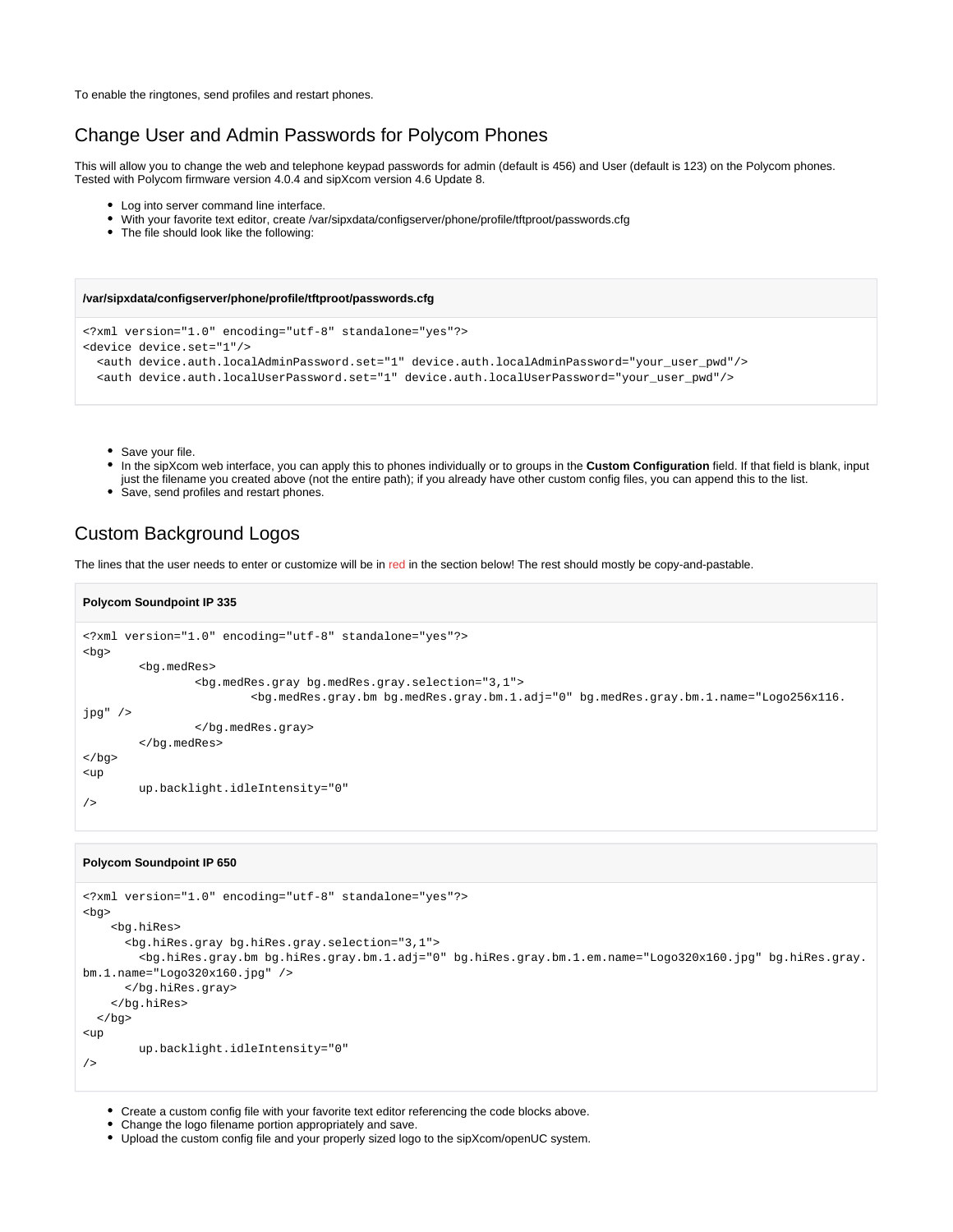

To enable the ringtones, send profiles and restart phones.

### Change User and Admin Passwords for Polycom Phones

This will allow you to change the web and telephone keypad passwords for admin (default is 456) and User (default is 123) on the Polycom phones. Tested with Polycom firmware version 4.0.4 and sipXcom version 4.6 Update 8.

- Log into server command line interface.
- With your favorite text editor, create /var/sipxdata/configserver/phone/profile/tftproot/passwords.cfg
- The file should look like the following:

#### **/var/sipxdata/configserver/phone/profile/tftproot/passwords.cfg**

```
<?xml version="1.0" encoding="utf-8" standalone="yes"?>
<device device.set="1"/>
  <auth device.auth.localAdminPassword.set="1" device.auth.localAdminPassword="your_user_pwd"/>
   <auth device.auth.localUserPassword.set="1" device.auth.localUserPassword="your_user_pwd"/>
```
- Save your file.
- In the sipXcom web interface, you can apply this to phones individually or to groups in the **Custom Configuration** field. If that field is blank, input just the filename you created above (not the entire path); if you already have other custom config files, you can append this to the list.
- Save, send profiles and restart phones.

# Custom Background Logos

The lines that the user needs to enter or customize will be in red in the section below! The rest should mostly be copy-and-pastable.

#### **Polycom Soundpoint IP 335**

```
<?xml version="1.0" encoding="utf-8" standalone="yes"?>
<bg>
         <bg.medRes>
                 <bg.medRes.gray bg.medRes.gray.selection="3,1">
                          <bg.medRes.gray.bm bg.medRes.gray.bm.1.adj="0" bg.medRes.gray.bm.1.name="Logo256x116.
jpg" />
                 </bg.medRes.gray>
         </bg.medRes>
</bg>
<up
         up.backlight.idleIntensity="0"
/>
```
### **Polycom Soundpoint IP 650**

```
<?xml version="1.0" encoding="utf-8" standalone="yes"?>
<bg>
     <bg.hiRes>
       <bg.hiRes.gray bg.hiRes.gray.selection="3,1">
        <bg.hiRes.gray.bm bg.hiRes.gray.bm.1.adj="0" bg.hiRes.gray.bm.1.em.name="Logo320x160.jpg" bg.hiRes.gray.
bm.1.name="Logo320x160.jpg" />
      </bg.hiRes.gray>
     </bg.hiRes>
  </bg>
<up
         up.backlight.idleIntensity="0"
/>
```
- Create a custom config file with your favorite text editor referencing the code blocks above.
- Change the logo filename portion appropriately and save.
- Upload the custom config file and your properly sized logo to the sipXcom/openUC system.